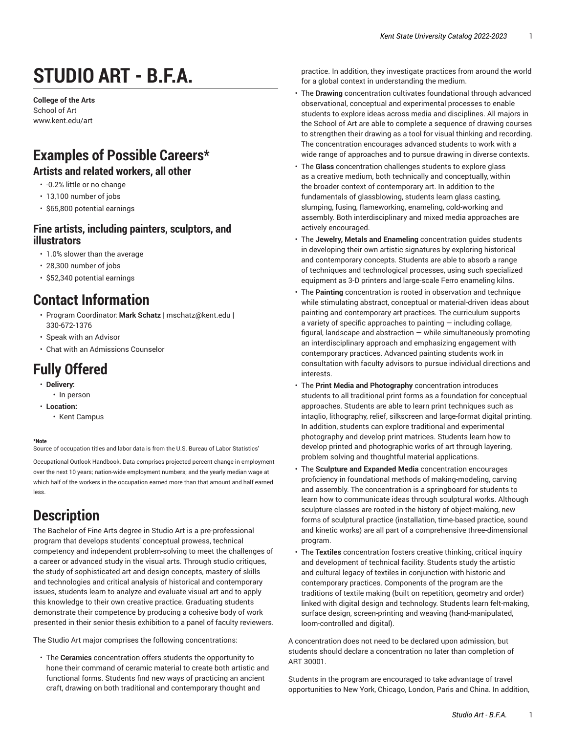# **STUDIO ART - B.F.A.**

**College of the Arts** School of Art [www.kent.edu/art](http://www.kent.edu/art/)

### **Examples of Possible Careers\***

#### **Artists and related workers, all other**

- -0.2% little or no change
- 13,100 number of jobs
- \$65,800 potential earnings

#### **Fine artists, including painters, sculptors, and illustrators**

- 1.0% slower than the average
- 28,300 number of jobs
- \$52,340 potential earnings

### **Contact Information**

- Program Coordinator: **Mark Schatz** | [mschatz@kent.edu](mailto:mschatz@kent.edu) | 330-672-1376
- [Speak with an Advisor](https://www.kent.edu/artscollege/students/advising/)
- [Chat with an Admissions Counselor](https://www.kent.edu/admissions/undergraduate/schedule-visit/)

### **Fully Offered**

- **Delivery:**
- In person
- **Location:**
	- Kent Campus

#### **\*Note**

Source of occupation titles and labor data is from the U.S. Bureau of Labor Statistics'

[Occupational Outlook Handbook](https://data.bls.gov/projections/occupationProj/). Data comprises projected percent change in employment over the next 10 years; nation-wide employment numbers; and the yearly median wage at which half of the workers in the occupation earned more than that amount and half earned less.

### **Description**

The Bachelor of Fine Arts degree in Studio Art is a pre-professional program that develops students' conceptual prowess, technical competency and independent problem-solving to meet the challenges of a career or advanced study in the visual arts. Through studio critiques, the study of sophisticated art and design concepts, mastery of skills and technologies and critical analysis of historical and contemporary issues, students learn to analyze and evaluate visual art and to apply this knowledge to their own creative practice. Graduating students demonstrate their competence by producing a cohesive body of work presented in their senior thesis exhibition to a panel of faculty reviewers.

The Studio Art major comprises the following concentrations:

• The **Ceramics** concentration offers students the opportunity to hone their command of ceramic material to create both artistic and functional forms. Students find new ways of practicing an ancient craft, drawing on both traditional and contemporary thought and

practice. In addition, they investigate practices from around the world for a global context in understanding the medium.

- The **Drawing** concentration cultivates foundational through advanced observational, conceptual and experimental processes to enable students to explore ideas across media and disciplines. All majors in the School of Art are able to complete a sequence of drawing courses to strengthen their drawing as a tool for visual thinking and recording. The concentration encourages advanced students to work with a wide range of approaches and to pursue drawing in diverse contexts.
- The **Glass** concentration challenges students to explore glass as a creative medium, both technically and conceptually, within the broader context of contemporary art. In addition to the fundamentals of glassblowing, students learn glass casting, slumping, fusing, flameworking, enameling, cold-working and assembly. Both interdisciplinary and mixed media approaches are actively encouraged.
- The **Jewelry, Metals and Enameling** concentration guides students in developing their own artistic signatures by exploring historical and contemporary concepts. Students are able to absorb a range of techniques and technological processes, using such specialized equipment as 3-D printers and large-scale Ferro enameling kilns.
- The **Painting** concentration is rooted in observation and technique while stimulating abstract, conceptual or material-driven ideas about painting and contemporary art practices. The curriculum supports a variety of specific approaches to painting  $-$  including collage, figural, landscape and abstraction  $-$  while simultaneously promoting an interdisciplinary approach and emphasizing engagement with contemporary practices. Advanced painting students work in consultation with faculty advisors to pursue individual directions and interests.
- The **Print Media and Photography** concentration introduces students to all traditional print forms as a foundation for conceptual approaches. Students are able to learn print techniques such as intaglio, lithography, relief, silkscreen and large-format digital printing. In addition, students can explore traditional and experimental photography and develop print matrices. Students learn how to develop printed and photographic works of art through layering, problem solving and thoughtful material applications.
- The **Sculpture and Expanded Media** concentration encourages proficiency in foundational methods of making-modeling, carving and assembly. The concentration is a springboard for students to learn how to communicate ideas through sculptural works. Although sculpture classes are rooted in the history of object-making, new forms of sculptural practice (installation, time-based practice, sound and kinetic works) are all part of a comprehensive three-dimensional program.
- The **Textiles** concentration fosters creative thinking, critical inquiry and development of technical facility. Students study the artistic and cultural legacy of textiles in conjunction with historic and contemporary practices. Components of the program are the traditions of textile making (built on repetition, geometry and order) linked with digital design and technology. Students learn felt-making, surface design, screen-printing and weaving (hand-manipulated, loom-controlled and digital).

A concentration does not need to be declared upon admission, but students should declare a concentration no later than completion of ART 30001.

Students in the program are encouraged to take advantage of travel opportunities to New York, Chicago, London, Paris and China. In addition,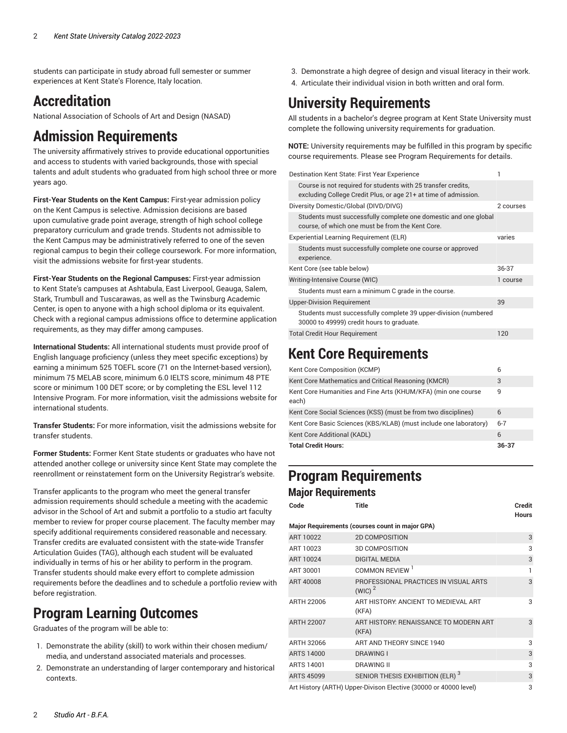students can participate in study abroad full semester or summer experiences at Kent State's Florence, Italy location.

### **Accreditation**

National Association of Schools of Art and Design (NASAD)

### **Admission Requirements**

The university affirmatively strives to provide educational opportunities and access to students with varied backgrounds, those with special talents and adult students who graduated from high school three or more years ago.

**First-Year Students on the Kent Campus:** First-year admission policy on the Kent Campus is selective. Admission decisions are based upon cumulative grade point average, strength of high school college preparatory curriculum and grade trends. Students not admissible to the Kent Campus may be administratively referred to one of the seven regional campus to begin their college coursework. For more information, visit the [admissions](http://www.kent.edu/node/951533/) website for first-year students.

**First-Year Students on the Regional Campuses:** First-year admission to Kent State's campuses at Ashtabula, East Liverpool, Geauga, Salem, Stark, Trumbull and Tuscarawas, as well as the Twinsburg Academic Center, is open to anyone with a high school diploma or its equivalent. Check with a regional campus admissions office to determine application requirements, as they may differ among campuses.

**International Students:** All international students must provide proof of English language proficiency (unless they meet specific exceptions) by earning a minimum 525 TOEFL score (71 on the Internet-based version), minimum 75 MELAB score, minimum 6.0 IELTS score, minimum 48 PTE score or minimum 100 DET score; or by completing the ESL level 112 Intensive Program. For more information, visit the [admissions website for](http://www.kent.edu/globaleducation/international-admissions/) [international students](http://www.kent.edu/globaleducation/international-admissions/).

**Transfer Students:** For more information, visit the [admissions website for](https://www.kent.edu/admissions/?au=transfer) transfer [students.](https://www.kent.edu/admissions/?au=transfer)

**Former Students:** Former Kent State students or graduates who have not attended another college or university since Kent State may complete the reenrollment or reinstatement form on the University [Registrar's](https://www.kent.edu/node/67516/) website.

Transfer applicants to the program who meet the general transfer admission requirements should schedule a meeting with the academic advisor in the School of Art and submit a portfolio to a studio art faculty member to review for proper course placement. The faculty member may specify additional requirements considered reasonable and necessary. Transfer credits are evaluated consistent with the state-wide Transfer Articulation Guides (TAG), although each student will be evaluated individually in terms of his or her ability to perform in the program. Transfer students should make every effort to complete admission requirements before the deadlines and to schedule a portfolio review with before registration.

## **Program Learning Outcomes**

Graduates of the program will be able to:

- 1. Demonstrate the ability (skill) to work within their chosen medium/ media, and understand associated materials and processes.
- 2. Demonstrate an understanding of larger contemporary and historical contexts.
- 3. Demonstrate a high degree of design and visual literacy in their work.
- 4. Articulate their individual vision in both written and oral form.

### **University Requirements**

All students in a bachelor's degree program at Kent State University must complete the following university requirements for graduation.

**NOTE:** University requirements may be fulfilled in this program by specific course requirements. Please see Program Requirements for details.

| Destination Kent State: First Year Experience                                                                                    |           |
|----------------------------------------------------------------------------------------------------------------------------------|-----------|
| Course is not required for students with 25 transfer credits.<br>excluding College Credit Plus, or age 21+ at time of admission. |           |
| Diversity Domestic/Global (DIVD/DIVG)                                                                                            | 2 courses |
| Students must successfully complete one domestic and one global<br>course, of which one must be from the Kent Core.              |           |
| Experiential Learning Requirement (ELR)                                                                                          | varies    |
| Students must successfully complete one course or approved<br>experience.                                                        |           |
| Kent Core (see table below)                                                                                                      | 36-37     |
| Writing-Intensive Course (WIC)                                                                                                   | 1 course  |
| Students must earn a minimum C grade in the course.                                                                              |           |
| <b>Upper-Division Requirement</b>                                                                                                | 39        |
| Students must successfully complete 39 upper-division (numbered<br>30000 to 49999) credit hours to graduate.                     |           |
| <b>Total Credit Hour Requirement</b>                                                                                             | 120       |

### <span id="page-1-0"></span>**Kent Core Requirements**

| Kent Core Composition (KCMP)                                           | 6         |
|------------------------------------------------------------------------|-----------|
| Kent Core Mathematics and Critical Reasoning (KMCR)                    | 3         |
| Kent Core Humanities and Fine Arts (KHUM/KFA) (min one course<br>each) | 9         |
| Kent Core Social Sciences (KSS) (must be from two disciplines)         | 6         |
| Kent Core Basic Sciences (KBS/KLAB) (must include one laboratory)      | $6 - 7$   |
| Kent Core Additional (KADL)                                            | 6         |
| <b>Total Credit Hours:</b>                                             | $36 - 37$ |

### **Program Requirements Major Requirements**

| Code              | Title                                                            | <b>Credit</b><br><b>Hours</b> |
|-------------------|------------------------------------------------------------------|-------------------------------|
|                   | Major Requirements (courses count in major GPA)                  |                               |
| ART 10022         | <b>2D COMPOSITION</b>                                            | 3                             |
| ART 10023         | <b>3D COMPOSITION</b>                                            | 3                             |
| ART 10024         | <b>DIGITAL MEDIA</b>                                             | 3                             |
| ART 30001         | COMMON REVIEW <sup>1</sup>                                       |                               |
| ART 40008         | PROFESSIONAL PRACTICES IN VISUAL ARTS<br>$(WIC)^2$               | 3                             |
| ARTH 22006        | ART HISTORY: ANCIENT TO MEDIEVAL ART<br>(KFA)                    | 3                             |
| <b>ARTH 22007</b> | ART HISTORY: RENAISSANCE TO MODERN ART<br>(KFA)                  | 3                             |
| ARTH 32066        | ART AND THEORY SINCE 1940                                        | 3                             |
| ARTS 14000        | <b>DRAWING I</b>                                                 | 3                             |
| ARTS 14001        | <b>DRAWING II</b>                                                | 3                             |
| <b>ARTS 45099</b> | SENIOR THESIS EXHIBITION (ELR) <sup>3</sup>                      | 3                             |
|                   | Art History (ARTH) Upper-Divison Elective (30000 or 40000 level) | 3                             |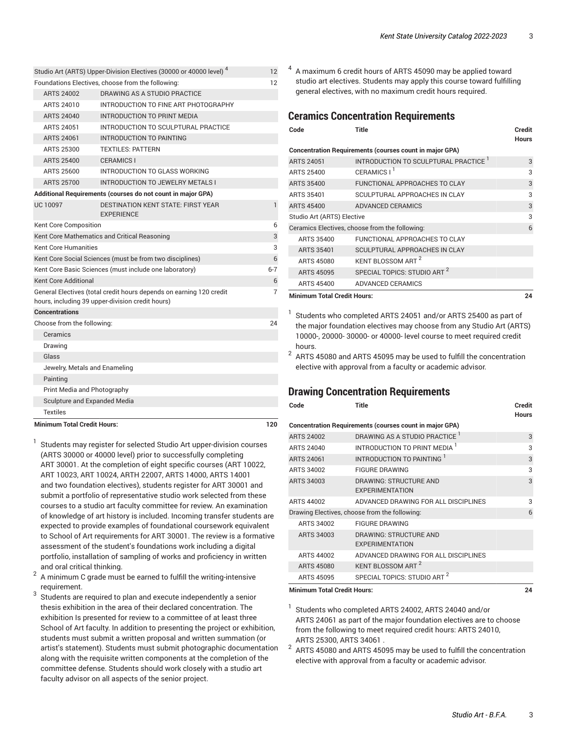| <b>Minimum Total Credit Hours:</b> |                                                                                                                         | 120     |
|------------------------------------|-------------------------------------------------------------------------------------------------------------------------|---------|
| <b>Textiles</b>                    |                                                                                                                         |         |
| Sculpture and Expanded Media       |                                                                                                                         |         |
| Print Media and Photography        |                                                                                                                         |         |
| Painting                           |                                                                                                                         |         |
| Jewelry, Metals and Enameling      |                                                                                                                         |         |
| Glass                              |                                                                                                                         |         |
| Drawing                            |                                                                                                                         |         |
| Ceramics                           |                                                                                                                         |         |
| Choose from the following:         |                                                                                                                         | 24      |
| <b>Concentrations</b>              |                                                                                                                         |         |
|                                    | General Electives (total credit hours depends on earning 120 credit<br>hours, including 39 upper-division credit hours) | 7       |
| <b>Kent Core Additional</b>        |                                                                                                                         | 6       |
|                                    | Kent Core Basic Sciences (must include one laboratory)                                                                  | $6 - 7$ |
|                                    | Kent Core Social Sciences (must be from two disciplines)                                                                | 6       |
| <b>Kent Core Humanities</b>        |                                                                                                                         |         |
|                                    | Kent Core Mathematics and Critical Reasoning                                                                            | 3       |
| Kent Core Composition              |                                                                                                                         | 6       |
| <b>UC 10097</b>                    | <b>DESTINATION KENT STATE: FIRST YEAR</b><br><b>EXPERIENCE</b>                                                          | 1       |
|                                    | Additional Requirements (courses do not count in major GPA)                                                             |         |
| <b>ARTS 25700</b>                  | <b>INTRODUCTION TO JEWELRY METALS I</b>                                                                                 |         |
| ARTS 25600                         | INTRODUCTION TO GLASS WORKING                                                                                           |         |
| <b>ARTS 25400</b>                  | <b>CERAMICS I</b>                                                                                                       |         |
| ARTS 25300                         | <b>TEXTILES: PATTERN</b>                                                                                                |         |
| ARTS 24061                         | INTRODUCTION TO PAINTING                                                                                                |         |
| <b>ARTS 24051</b>                  | INTRODUCTION TO SCULPTURAL PRACTICE                                                                                     |         |
| ARTS 24040                         | INTRODUCTION TO PRINT MEDIA                                                                                             |         |
| ARTS 24010                         | INTRODUCTION TO FINE ART PHOTOGRAPHY                                                                                    |         |
| ARTS 24002                         | DRAWING AS A STUDIO PRACTICE                                                                                            |         |
|                                    | Foundations Electives, choose from the following:                                                                       | 12      |
|                                    | Studio Art (ARTS) Upper-Division Electives (30000 or 40000 level) <sup>4</sup>                                          | 12      |

1 Students may register for selected Studio Art upper-division courses (ARTS 30000 or 40000 level) prior to successfully completing ART 30001. At the completion of eight specific courses (ART 10022, ART 10023, ART 10024, ARTH 22007, ARTS 14000, ARTS 14001 and two foundation electives), students register for ART 30001 and submit a portfolio of representative studio work selected from these courses to a studio art faculty committee for review. An examination of knowledge of art history is included. Incoming transfer students are expected to provide examples of foundational coursework equivalent to School of Art requirements for ART 30001. The review is a formative assessment of the student's foundations work including a digital portfolio, installation of sampling of works and proficiency in written and oral critical thinking.

- 2 A minimum C grade must be earned to fulfill the writing-intensive requirement.
- 3 Students are required to plan and execute independently a senior thesis exhibition in the area of their declared concentration. The exhibition Is presented for review to a committee of at least three School of Art faculty. In addition to presenting the project or exhibition, students must submit a written proposal and written summation (or artist's statement). Students must submit photographic documentation along with the requisite written components at the completion of the committee defense. Students should work closely with a studio art faculty advisor on all aspects of the senior project.

 $4\,$  A maximum 6 credit hours of ARTS 45090 may be applied toward studio art electives. Students may apply this course toward fulfilling general electives, with no maximum credit hours required.

#### <span id="page-2-0"></span>**Ceramics Concentration Requirements**

| Code                               | <b>Title</b>                                                   | Credit<br><b>Hours</b> |
|------------------------------------|----------------------------------------------------------------|------------------------|
|                                    | <b>Concentration Requirements (courses count in major GPA)</b> |                        |
| <b>ARTS 24051</b>                  | INTRODUCTION TO SCULPTURAL PRACTICE <sup>1</sup>               | 3                      |
| <b>ARTS 25400</b>                  | CERAMICS I <sup>1</sup>                                        | 3                      |
| <b>ARTS 35400</b>                  | <b>FUNCTIONAL APPROACHES TO CLAY</b>                           | 3                      |
| ARTS 35401                         | SCULPTURAL APPROACHES IN CLAY                                  | 3                      |
| <b>ARTS 45400</b>                  | ADVANCED CERAMICS                                              | 3                      |
| Studio Art (ARTS) Elective         |                                                                | 3                      |
|                                    | Ceramics Electives, choose from the following:                 | 6                      |
| ARTS 35400                         | <b>FUNCTIONAL APPROACHES TO CLAY</b>                           |                        |
| <b>ARTS 35401</b>                  | SCULPTURAL APPROACHES IN CLAY                                  |                        |
| <b>ARTS 45080</b>                  | KENT BLOSSOM ART <sup>2</sup>                                  |                        |
| ARTS 45095                         | SPECIAL TOPICS: STUDIO ART <sup>2</sup>                        |                        |
| ARTS 45400                         | ADVANCED CERAMICS                                              |                        |
| <b>Minimum Total Credit Hours:</b> |                                                                | 24                     |

- 
- 1 Students who completed ARTS 24051 and/or ARTS 25400 as part of the major foundation electives may choose from any Studio Art (ARTS) 10000-, 20000- 30000- or 40000- level course to meet required credit hours.
- 2 ARTS 45080 and ARTS 45095 may be used to fulfill the concentration elective with approval from a faculty or academic advisor.

#### <span id="page-2-1"></span>**Drawing Concentration Requirements**

| Code              | <b>Title</b>                                                   | <b>Credit</b><br><b>Hours</b> |
|-------------------|----------------------------------------------------------------|-------------------------------|
|                   | <b>Concentration Requirements (courses count in major GPA)</b> |                               |
| <b>ARTS 24002</b> | DRAWING AS A STUDIO PRACTICE <sup>1</sup>                      | 3                             |
| ARTS 24040        | INTRODUCTION TO PRINT MEDIA <sup>1</sup>                       | 3                             |
| ARTS 24061        | INTRODUCTION TO PAINTING                                       | 3                             |
| ARTS 34002        | <b>FIGURE DRAWING</b>                                          | 3                             |
| ARTS 34003        | DRAWING: STRUCTURE AND                                         | 3                             |
|                   | <b>EXPERIMENTATION</b>                                         |                               |
| ARTS 44002        | ADVANCED DRAWING FOR ALL DISCIPLINES                           | 3                             |
|                   | Drawing Electives, choose from the following:                  | 6                             |
| ARTS 34002        | <b>FIGURE DRAWING</b>                                          |                               |
| ARTS 34003        | <b>DRAWING: STRUCTURE AND</b>                                  |                               |
|                   | <b>EXPERIMENTATION</b>                                         |                               |
| ARTS 44002        | ADVANCED DRAWING FOR ALL DISCIPLINES                           |                               |
| <b>ARTS 45080</b> | KENT BLOSSOM ART <sup>2</sup>                                  |                               |
| ARTS 45095        | SPECIAL TOPICS: STUDIO ART <sup>2</sup>                        |                               |

**Minimum Total Credit Hours: 24**

1 Students who completed ARTS 24002, ARTS 24040 and/or ARTS 24061 as part of the major foundation electives are to choose from the following to meet required credit hours: ARTS 24010, ARTS 25300, ARTS 34061 .

2 ARTS 45080 and ARTS 45095 may be used to fulfill the concentration elective with approval from a faculty or academic advisor.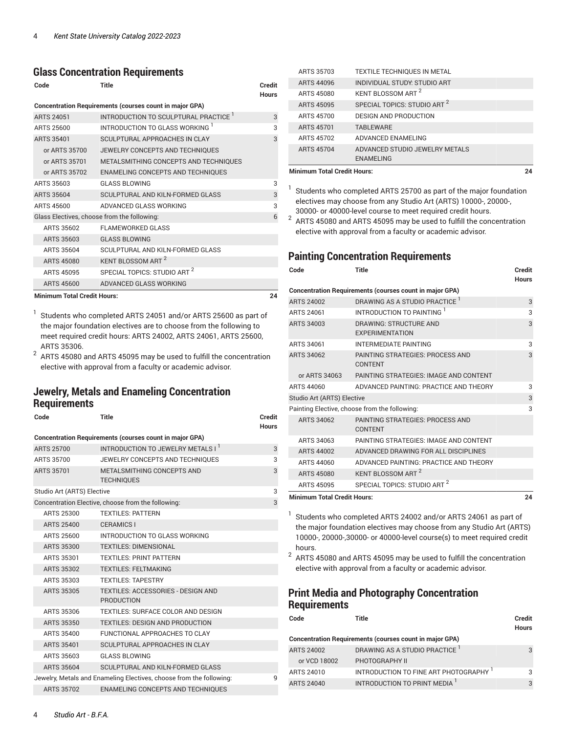#### <span id="page-3-0"></span>**Glass Concentration Requirements**

| Code                        | <b>Title</b>                                                   | <b>Credit</b><br><b>Hours</b> |
|-----------------------------|----------------------------------------------------------------|-------------------------------|
|                             | <b>Concentration Requirements (courses count in major GPA)</b> |                               |
| <b>ARTS 24051</b>           | INTRODUCTION TO SCULPTURAL PRACTICE <sup>1</sup>               | 3                             |
| ARTS 25600                  | INTRODUCTION TO GLASS WORKING                                  | 3                             |
| <b>ARTS 35401</b>           | SCULPTURAL APPROACHES IN CLAY                                  | 3                             |
| or ARTS 35700               | JEWELRY CONCEPTS AND TECHNIQUES                                |                               |
| or ARTS 35701               | METALSMITHING CONCEPTS AND TECHNIQUES                          |                               |
| or ARTS 35702               | ENAMELING CONCEPTS AND TECHNIQUES                              |                               |
| ARTS 35603                  | <b>GLASS BLOWING</b>                                           | 3                             |
| <b>ARTS 35604</b>           | SCULPTURAL AND KILN-FORMED GLASS                               | 3                             |
| ARTS 45600                  | ADVANCED GLASS WORKING                                         | 3                             |
|                             | Glass Electives, choose from the following:                    | 6                             |
| ARTS 35602                  | <b>FLAMEWORKED GLASS</b>                                       |                               |
| ARTS 35603                  | <b>GLASS BLOWING</b>                                           |                               |
| ARTS 35604                  | SCULPTURAL AND KILN-FORMED GLASS                               |                               |
| <b>ARTS 45080</b>           | KENT BLOSSOM ART <sup>2</sup>                                  |                               |
| ARTS 45095                  | SPECIAL TOPICS: STUDIO ART <sup>2</sup>                        |                               |
| ARTS 45600                  | ADVANCED GLASS WORKING                                         |                               |
| Minimum Total Cradit Hours: |                                                                | ΩÆ                            |

**Minimum Total Credit Hours: 24**

1 Students who completed ARTS 24051 and/or ARTS 25600 as part of the major foundation electives are to choose from the following to meet required credit hours: ARTS 24002, ARTS 24061, ARTS 25600, ARTS 35306.

2 ARTS 45080 and ARTS 45095 may be used to fulfill the concentration elective with approval from a faculty or academic advisor.

#### <span id="page-3-1"></span>**Jewelry, Metals and Enameling Concentration Requirements**

| Code                                                                     | Title                                                          | Credit<br><b>Hours</b> |  |
|--------------------------------------------------------------------------|----------------------------------------------------------------|------------------------|--|
| <b>Concentration Requirements (courses count in major GPA)</b>           |                                                                |                        |  |
| <b>ARTS 25700</b>                                                        | INTRODUCTION TO JEWELRY METALS I                               | 3                      |  |
| ARTS 35700                                                               | JEWELRY CONCEPTS AND TECHNIQUES                                | 3                      |  |
| <b>ARTS 35701</b>                                                        | <b>METALSMITHING CONCEPTS AND</b><br><b>TECHNIQUES</b>         | 3                      |  |
| Studio Art (ARTS) Elective                                               |                                                                | 3                      |  |
|                                                                          | Concentration Elective, choose from the following:             | 3                      |  |
| ARTS 25300                                                               | <b>TEXTILES: PATTERN</b>                                       |                        |  |
| <b>ARTS 25400</b>                                                        | <b>CERAMICS I</b>                                              |                        |  |
| ARTS 25600                                                               | INTRODUCTION TO GLASS WORKING                                  |                        |  |
| <b>ARTS 35300</b>                                                        | <b>TEXTILES: DIMENSIONAL</b>                                   |                        |  |
| ARTS 35301                                                               | <b>TEXTILES: PRINT PATTERN</b>                                 |                        |  |
| ARTS 35302                                                               | <b>TEXTILES: FELTMAKING</b>                                    |                        |  |
| ARTS 35303                                                               | <b>TEXTILES: TAPESTRY</b>                                      |                        |  |
| <b>ARTS 35305</b>                                                        | <b>TEXTILES: ACCESSORIES - DESIGN AND</b><br><b>PRODUCTION</b> |                        |  |
| ARTS 35306                                                               | <b>TEXTILES: SURFACE COLOR AND DESIGN</b>                      |                        |  |
| ARTS 35350                                                               | <b>TEXTILES: DESIGN AND PRODUCTION</b>                         |                        |  |
| ARTS 35400                                                               | FUNCTIONAL APPROACHES TO CLAY                                  |                        |  |
| <b>ARTS 35401</b>                                                        | SCULPTURAL APPROACHES IN CLAY                                  |                        |  |
| ARTS 35603                                                               | <b>GLASS BLOWING</b>                                           |                        |  |
| <b>ARTS 35604</b>                                                        | SCULPTURAL AND KILN-FORMED GLASS                               |                        |  |
| Jewelry, Metals and Enameling Electives, choose from the following:<br>9 |                                                                |                        |  |
| <b>ARTS 35702</b>                                                        | <b>ENAMELING CONCEPTS AND TECHNIQUES</b>                       |                        |  |

| <b>Minimum Total Credit Hours:</b> |                                         | 24 |
|------------------------------------|-----------------------------------------|----|
|                                    | <b>ENAMELING</b>                        |    |
| <b>ARTS 45704</b>                  | ADVANCED STUDIO JEWELRY METALS          |    |
| ARTS 45702                         | ADVANCED ENAMELING                      |    |
| <b>ARTS 45701</b>                  | <b>TABLEWARE</b>                        |    |
| ARTS 45700                         | <b>DESIGN AND PRODUCTION</b>            |    |
| ARTS 45095                         | SPECIAL TOPICS: STUDIO ART <sup>2</sup> |    |
| ARTS 45080                         | KENT BLOSSOM ART <sup>2</sup>           |    |
| ARTS 44096                         | INDIVIDUAL STUDY: STUDIO ART            |    |
| ARTS 35703                         | <b>TEXTILE TECHNIQUES IN METAL</b>      |    |

<sup>1</sup> Students who completed ARTS 25700 as part of the major foundation electives may choose from any Studio Art (ARTS) 10000-, 20000-, 30000- or 40000-level course to meet required credit hours.

 $^{\rm 2}$  ARTS 45080 and ARTS 45095 may be used to fulfill the concentration elective with approval from a faculty or academic advisor.

#### <span id="page-3-2"></span>**Painting Concentration Requirements**

| Code                               | Title                                                          | <b>Credit</b><br><b>Hours</b> |
|------------------------------------|----------------------------------------------------------------|-------------------------------|
|                                    | <b>Concentration Requirements (courses count in major GPA)</b> |                               |
| ARTS 24002                         | DRAWING AS A STUDIO PRACTICE <sup>1</sup>                      | 3                             |
| ARTS 24061                         | INTRODUCTION TO PAINTING 1                                     | 3                             |
| <b>ARTS 34003</b>                  | <b>DRAWING: STRUCTURE AND</b><br><b>EXPERIMENTATION</b>        | 3                             |
| ARTS 34061                         | <b>INTERMEDIATE PAINTING</b>                                   | 3                             |
| <b>ARTS 34062</b>                  | PAINTING STRATEGIES: PROCESS AND<br><b>CONTENT</b>             | 3                             |
| or ARTS 34063                      | PAINTING STRATEGIES: IMAGE AND CONTENT                         |                               |
| ARTS 44060                         | ADVANCED PAINTING: PRACTICE AND THEORY                         | 3                             |
| Studio Art (ARTS) Elective         |                                                                | 3                             |
|                                    | Painting Elective, choose from the following:                  | 3                             |
| ARTS 34062                         | PAINTING STRATEGIES: PROCESS AND<br><b>CONTENT</b>             |                               |
| ARTS 34063                         | PAINTING STRATEGIES: IMAGE AND CONTENT                         |                               |
| ARTS 44002                         | ADVANCED DRAWING FOR ALL DISCIPLINES                           |                               |
| ARTS 44060                         | ADVANCED PAINTING: PRACTICE AND THEORY                         |                               |
| <b>ARTS 45080</b>                  | KENT BLOSSOM ART <sup>2</sup>                                  |                               |
| ARTS 45095                         | SPECIAL TOPICS: STUDIO ART <sup>2</sup>                        |                               |
| <b>Minimum Total Credit Hours:</b> |                                                                | 24                            |

<sup>1</sup> Students who completed ARTS 24002 and/or ARTS 24061 as part of the major foundation electives may choose from any Studio Art (ARTS) 10000-, 20000-,30000- or 40000-level course(s) to meet required credit hours.

 $^{\rm 2}$  ARTS 45080 and ARTS 45095 may be used to fulfill the concentration elective with approval from a faculty or academic advisor.

### <span id="page-3-3"></span>**Print Media and Photography Concentration Requirements**

| Code              | Title                                                          | Credit<br><b>Hours</b> |
|-------------------|----------------------------------------------------------------|------------------------|
|                   | <b>Concentration Requirements (courses count in major GPA)</b> |                        |
| <b>ARTS 24002</b> | DRAWING AS A STUDIO PRACTICE                                   | 3                      |
| or VCD 18002      | PHOTOGRAPHY II                                                 |                        |
| ARTS 24010        | INTRODUCTION TO FINE ART PHOTOGRAPHY <sup>1</sup>              | 3                      |
| ARTS 24040        | INTRODUCTION TO PRINT MEDIA '                                  | 3                      |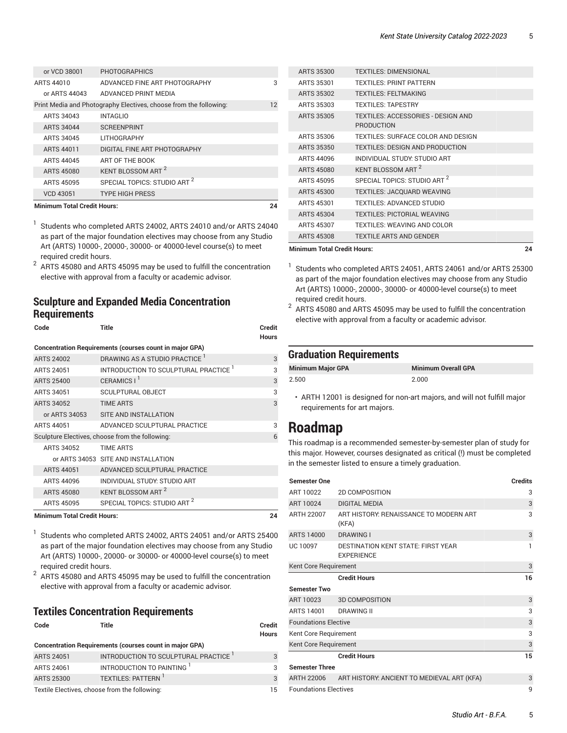| or VCD 38001                             | <b>PHOTOGRAPHICS</b>                                              |    |
|------------------------------------------|-------------------------------------------------------------------|----|
| ARTS 44010                               | ADVANCED FINE ART PHOTOGRAPHY                                     | 3  |
| or ARTS 44043                            | ADVANCED PRINT MEDIA                                              |    |
|                                          | Print Media and Photography Electives, choose from the following: | 12 |
| ARTS 34043                               | <b>INTAGLIO</b>                                                   |    |
| <b>ARTS 34044</b>                        | <b>SCREENPRINT</b>                                                |    |
| ARTS 34045                               | <b>LITHOGRAPHY</b>                                                |    |
| ARTS 44011                               | DIGITAL FINE ART PHOTOGRAPHY                                      |    |
| ARTS 44045                               | ART OF THE BOOK                                                   |    |
| ARTS 45080                               | KENT BLOSSOM ART <sup>2</sup>                                     |    |
| ARTS 45095                               | SPECIAL TOPICS: STUDIO ART <sup>2</sup>                           |    |
| <b>VCD 43051</b>                         | <b>TYPE HIGH PRESS</b>                                            |    |
| <b>Minimum Total Credit Hours:</b><br>7Δ |                                                                   |    |

1 Students who completed ARTS 24002, ARTS 24010 and/or ARTS 24040 as part of the major foundation electives may choose from any Studio Art (ARTS) 10000-, 20000-, 30000- or 40000-level course(s) to meet required credit hours.

2 ARTS 45080 and ARTS 45095 may be used to fulfill the concentration elective with approval from a faculty or academic advisor.

**Code Title Credit**

#### <span id="page-4-0"></span>**Sculpture and Expanded Media Concentration Requirements**

|                                    |                                                                | Hours |
|------------------------------------|----------------------------------------------------------------|-------|
|                                    | <b>Concentration Requirements (courses count in major GPA)</b> |       |
| <b>ARTS 24002</b>                  | DRAWING AS A STUDIO PRACTICE <sup>1</sup>                      | 3     |
| <b>ARTS 24051</b>                  | INTRODUCTION TO SCULPTURAL PRACTICE <sup>1</sup>               | 3     |
| <b>ARTS 25400</b>                  | CERAMICS I <sup>1</sup>                                        | 3     |
| ARTS 34051                         | <b>SCULPTURAL OBJECT</b>                                       | 3     |
| <b>ARTS 34052</b>                  | <b>TIME ARTS</b>                                               | 3     |
| or ARTS 34053                      | SITE AND INSTALLATION                                          |       |
| <b>ARTS 44051</b>                  | ADVANCED SCULPTURAL PRACTICE                                   | 3     |
|                                    | Sculpture Electives, choose from the following:                | 6     |
| ARTS 34052                         | <b>TIME ARTS</b>                                               |       |
|                                    | or ARTS 34053 SITE AND INSTALLATION                            |       |
| <b>ARTS 44051</b>                  | ADVANCED SCULPTURAL PRACTICE                                   |       |
| ARTS 44096                         | INDIVIDUAL STUDY: STUDIO ART                                   |       |
| <b>ARTS 45080</b>                  | KENT BLOSSOM ART <sup>2</sup>                                  |       |
| <b>ARTS 45095</b>                  | SPECIAL TOPICS: STUDIO ART <sup>2</sup>                        |       |
| <b>Minimum Total Credit Hours:</b> |                                                                | 24    |

1 Students who completed ARTS 24002, ARTS 24051 and/or ARTS 25400 as part of the major foundation electives may choose from any Studio Art (ARTS) 10000-, 20000- or 30000- or 40000-level course(s) to meet required credit hours.

2 ARTS 45080 and ARTS 45095 may be used to fulfill the concentration elective with approval from a faculty or academic advisor.

#### <span id="page-4-1"></span>**Textiles Concentration Requirements**

| Code              | Title                                                          | <b>Credit</b><br><b>Hours</b> |
|-------------------|----------------------------------------------------------------|-------------------------------|
|                   | <b>Concentration Requirements (courses count in major GPA)</b> |                               |
| <b>ARTS 24051</b> | INTRODUCTION TO SCULPTURAL PRACTICE                            | 3                             |
| ARTS 24061        | INTRODUCTION TO PAINTING <sup>1</sup>                          | 3                             |
| <b>ARTS 25300</b> | TEXTILES: PATTERN <sup>1</sup>                                 | $\mathcal{B}$                 |
|                   | Textile Electives, choose from the following:                  | 15                            |

| <b>Minimum Total Credit Hours:</b> |                                                                | 24 |
|------------------------------------|----------------------------------------------------------------|----|
| <b>ARTS 45308</b>                  | <b>TEXTILE ARTS AND GENDER</b>                                 |    |
| <b>ARTS 45307</b>                  | <b>TEXTILES: WEAVING AND COLOR</b>                             |    |
| <b>ARTS 45304</b>                  | <b>TEXTILES: PICTORIAL WEAVING</b>                             |    |
| ARTS 45301                         | <b>TEXTILES: ADVANCED STUDIO</b>                               |    |
| ARTS 45300                         | <b>TEXTILES: JACQUARD WEAVING</b>                              |    |
| ARTS 45095                         | SPECIAL TOPICS: STUDIO ART <sup>2</sup>                        |    |
| ARTS 45080                         | KENT BLOSSOM ART 2                                             |    |
| ARTS 44096                         | INDIVIDUAL STUDY: STUDIO ART                                   |    |
| <b>ARTS 35350</b>                  | <b>TEXTILES: DESIGN AND PRODUCTION</b>                         |    |
| ARTS 35306                         | <b>TEXTILES: SURFACE COLOR AND DESIGN</b>                      |    |
| ARTS 35305                         | <b>TEXTILES: ACCESSORIES - DESIGN AND</b><br><b>PRODUCTION</b> |    |
| ARTS 35303                         | <b>TEXTILES: TAPESTRY</b>                                      |    |
| <b>ARTS 35302</b>                  | <b>TEXTILES: FELTMAKING</b>                                    |    |
| ARTS 35301                         | <b>TEXTILES: PRINT PATTERN</b>                                 |    |
| ARTS 35300                         | <b>TEXTILES DIMENSIONAL</b>                                    |    |
|                                    |                                                                |    |

1 Students who completed ARTS 24051, ARTS 24061 and/or ARTS 25300 as part of the major foundation electives may choose from any Studio Art (ARTS) 10000-, 20000-, 30000- or 40000-level course(s) to meet required credit hours.

 $^2\,$  ARTS 45080 and ARTS 45095 may be used to fulfill the concentration elective with approval from a faculty or academic advisor.

#### **Graduation Requirements**

| <b>Minimum Major GPA</b> | <b>Minimum Overall GPA</b> |
|--------------------------|----------------------------|
| 2.500                    | 2.000                      |

• ARTH 12001 is designed for non-art majors, and will not fulfill major requirements for art majors.

### **Roadmap**

This roadmap is a recommended semester-by-semester plan of study for this major. However, courses designated as critical (!) must be completed in the semester listed to ensure a timely graduation.

| <b>Semester One</b>               |                                                                | Credits |
|-----------------------------------|----------------------------------------------------------------|---------|
| ART 10022                         | <b>2D COMPOSITION</b>                                          | 3       |
| ART 10024                         | <b>DIGITAL MEDIA</b>                                           | 3       |
| ARTH 22007                        | ART HISTORY: RENAISSANCE TO MODERN ART<br>(KFA)                | 3       |
| ARTS 14000                        | <b>DRAWING I</b>                                               | 3       |
| <b>UC 10097</b>                   | <b>DESTINATION KENT STATE: FIRST YEAR</b><br><b>FXPERIENCE</b> | 1       |
| 3<br>Kent Core Requirement        |                                                                |         |
|                                   | <b>Credit Hours</b>                                            | 16      |
| <b>Semester Two</b>               |                                                                |         |
| ART 10023                         | <b>3D COMPOSITION</b>                                          | 3       |
| ARTS 14001                        | <b>DRAWING II</b>                                              | 3       |
| <b>Foundations Elective</b>       |                                                                | 3       |
| Kent Core Requirement             |                                                                | 3       |
| 3<br>Kent Core Requirement        |                                                                |         |
|                                   | <b>Credit Hours</b>                                            | 15      |
| <b>Semester Three</b>             |                                                                |         |
| ARTH 22006                        | ART HISTORY: ANCIENT TO MEDIEVAL ART (KFA)                     | 3       |
| <b>Foundations Electives</b><br>9 |                                                                |         |